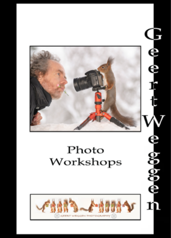

# Photo Workshops

n escenda<br>D

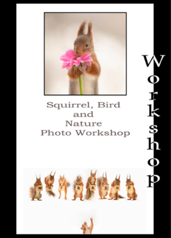

# Squirrel, Bird and Nature Photo Workshop





 $\frac{0}{1}$  $\frac{1}{2}$ \$  $\mathbf{r}$ q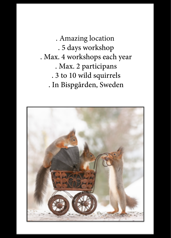. Amazing location . 5 days workshop . Max. 4 workshops each year . Max. 2 participans . 3 to 10 wild squirrels . In Bispgården, Sweden

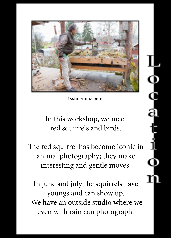

**Inside the studio.**

In this workshop, we meet red squirrels and birds.

The red squirrel has become iconic in animal photography; they make interesting and gentle moves.

In june and july the squirrels have youngs and can show up. We have an outside studio where we even with rain can photograph.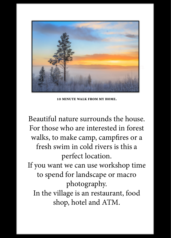

**10 minute walk from my home.**

Beautiful nature surrounds the house. For those who are interested in forest walks, to make camp, campfires or a fresh swim in cold rivers is this a perfect location. If you want we can use workshop time to spend for landscape or macro photography. In the village is an restaurant, food shop, hotel and ATM.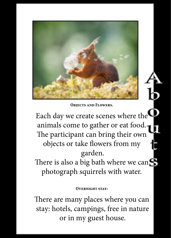

**Objects and Flowers.**

Each day we create scenes where the animals come to gather or eat food. The participant can bring their own objects or take flowers from my garden.

There is also a big bath where we can photograph squirrels with water.

#### **Overnight stay:**

There are many places where you can stay: hotels, campings, free in nature or in my guest house.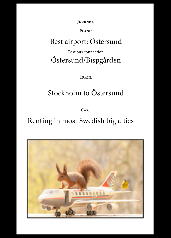**Journey.**

#### **Plane:**

## Best airport: Östersund

### Best bus connection Östersund/Bispgården

**Train:**

# Stockholm to Östersund

**Car :**

### Renting in most Swedish big cities

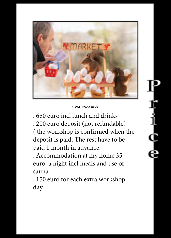

#### **5 day workshop:**

. 650 euro incl lunch and drinks . 200 euro deposit (not refundable) ( the workshop is confirmed when the deposit is paid. The rest have to be paid 1 month in advance.

. Accommodation at my home 35 euro a night incl meals and use of sauna

. 150 euro for each extra workshop day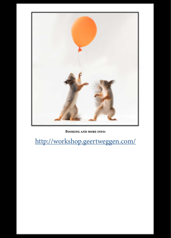

**Booking and more info:**

<http://workshop.geertweggen.com/>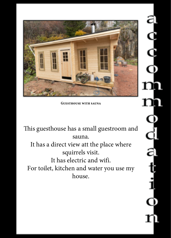

**Guesthouse with sauna**

This guesthouse has a small guestroom and sauna. It has a direct view att the place where squirrels visit. It has electric and wifi. For toilet, kitchen and water you use my house.